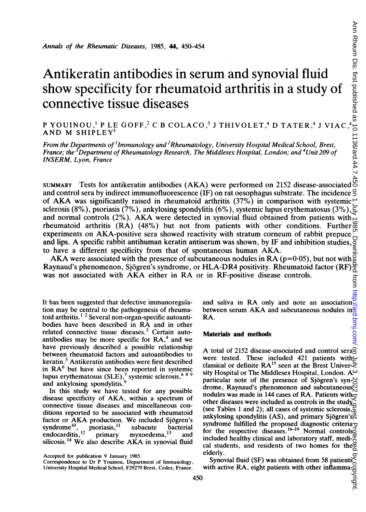# Antikeratin antibodies in serum and synovial fluid show specificity for rheumatoid arthritis in a study of connective tissue diseases

P YOUINOU, $^1$  P LE GOFF, $^2$  C B COLACO, $^3$  J THIVOLET, $^4$  D TATER, $^4$  J VIAC, $^4$ AND M SHIPLEY3

From the Departments of 'lmmunology and 2Rheumatology, University Hospital Medical School, Brest, France; the 'Department of Rheumatology Research, The Middlesex Hospital, London; and \*Unit 209 of INSERM, Lyon, France

SUMMARY Tests for antikeratin antibodies (AKA) were performed on 2152 disease-associated and control sera by indirect immunofluorescence (IF) on rat oesophagus substrate. The incidence and control sera by indirect immunofluorescence (IF) on rat oesophagus substrate. The incidence  $\frac{1}{2}$  of AKA was significantly raised in rheumatoid arthritis (37%) in comparison with systemic  $\frac{1}{2}$ sclerosis (8%), psoriasis (7%), ankylosing spondylitis (6%), systemic lupus erythematosus (3%),  $\equiv$ and normal controls (2%). AKA were detected in synovial fluid obtained from patients with rheumatoid arthritis (RA) (48%) but not from patients with other conditions. Further experiments on AKA-positive sera showed reactivity with stratum corneum of rabbit prepuce and lips. A specific rabbit antihuman keratin antiserum was shown, by IF and inhibition studies, to have <sup>a</sup> different specificity from that of spontaneous human AKA.

AKA were associated with the presence of subcutaneous nodules in RA ( $p=0.05$ ), but not with Raynaud's phenomenon, Sjogren's syndrome, or HLA-DR4 positivity. Rheumatoid factor (RF) was not associated with AKA either in RA or in RF-positive disease controls.

It has been suggested that defective immunoregulation may be central to the pathogenesis of rheumatoid arthritis.<sup>12</sup> Several non-organ-specific autoantibodies have been described in RA and in other related connective tissue diseases.<sup>3</sup> Certain autoantibodies may be more specific for  $RA<sup>4</sup>$  and we have previously described a possible relationship between rheumatoid factors and autoantibodies to keratin.<sup>5</sup> Antikeratin antibodies were first described in RA<sup>6</sup> but have since been reported in systemic lupus erythematosus  $(SLE)$ ,<sup>7</sup> systemic sclerosis,<sup>689</sup> and ankylosing spondylitis.

In this study we have tested for any possible disease specificity of AKA, within <sup>a</sup> spectrum of connective tissue diseases and miscellaneous conditions reported to be associated with rheumatoid factor or AKA production. We included Sjögren's<br>syndrome<sup>10</sup>, psoriasis,<sup>11</sup> subacute bacterial syndrome<sup>10</sup>, psoriasis,<sup>11</sup> subacute bacterial endocarditis,<sup>12</sup> primary myxoedema,<sup>13</sup> and endocarditis,<sup>12</sup> primary myxoedema,<sup>13</sup> and silicosis.<sup>14</sup> We also describe AKA in synovial fluid

Accepted for publication 9 January 1985.

Correspondence to Dr P Youinou, Department of Immunology, University Hospital Medical School, F29279 Brest, Cedex, France. and saliva in RA only and note an association between serum AKA and subcutaneous nodules in RA.

#### Materials and methods

A total of 2152 disease-associated and control seraque were tested. These included 421 patients with\_ classical or definite  $RA^{15}$  seen at the Brest Univer $\overline{\leq}$ sity Hospital or The Middlesex Hospital, London.  $A^{\omega}$ particular note of the presence of Sjögren's syn- $\bowtie$ drome, Raynaud's phenomenon and subcutaneous $\bar{N}$ nodules was made in 144 cases of RA. Patients with  $\frac{1}{x}$ other diseases were included as controls in the study (see Tables <sup>1</sup> and 2); all cases of systemic sclerosis, ankylosing spondylitis (AS), and primary Sjögren's syndrome fulfilled the proposed diagnostic criteria for the respective diseases.<sup>10-19</sup> Normal controls included healthy clinical and laboratory staff, medi- $\overline{g}$ cal students, and residents of two homes for the  $\frac{1}{2}$  elderly. elderly. 454<br>
Service and Synovial fluid<br>
atoid arthritis in a study of<br>  $\frac{8}{3}$ <br>  $\frac{2}{3}$ <br>  $\frac{2}{3}$ <br>  $\frac{2}{3}$ <br>  $\frac{2}{3}$ <br>  $\frac{2}{3}$ <br>  $\frac{2}{3}$ <br>  $\frac{2}{3}$ <br>  $\frac{2}{3}$ <br>  $\frac{2}{3}$ <br>  $\frac{2}{3}$ <br>  $\frac{2}{3}$ <br>  $\frac{2}{3}$ <br>  $\frac{2}{3}$ <br>  $\frac$ 

Synovial fluid (SF) was obtained from 58 patients with active RA, eight patients with other inflamma-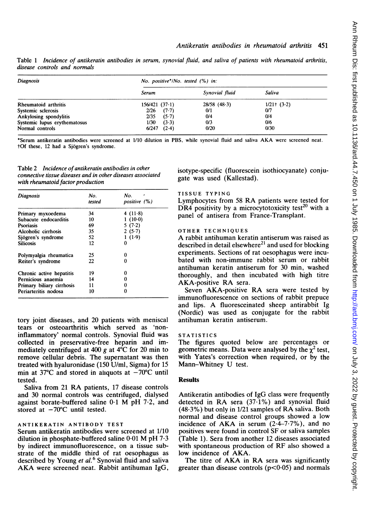Table <sup>1</sup> Incidence of antikeratin antibodies in serum, synovial fluid, and saliva of patients with rheumatoid arthritis, disease controls and normals

| Diagnosis                    | No. positive*/No. tested (%) in: |                |              |  |  |
|------------------------------|----------------------------------|----------------|--------------|--|--|
|                              | Serum                            | Synovial fluid | Saliva       |  |  |
| Rheumatoid arthritis         | 156/421(37.1)                    | $28/58$ (48.3) | $1/21$ (3.2) |  |  |
| Systemic sclerosis           | $(7-7)$<br>2/26                  | 0/1            | 0/7          |  |  |
| Ankylosing spondylitis       | (5.7)<br>2/35                    | 0/4            | 0/4          |  |  |
| Systemic lupus erythematosus | (3.3)<br>1/30                    | 0/3            | 0/6          |  |  |
| Normal controls              | $(2-4)$<br>6/247                 | 0/20           | 0/30         |  |  |

\*Serum antikeratin antibodies were screened at 1/10 dilution in PBS, while synovial fluid and saliva AKA were screened neat. tOf these, 12 had a Sjogren's syndrome.

Table 2 Incidence of antikeratin antibodies in other connective tissue diseases and in other diseases associated with rheumatoid factor production

| <b>Diagnosis</b>          | No.<br>tested | No.<br>positive (%) |
|---------------------------|---------------|---------------------|
| Primary myxoedema         | 34            | 4 $(11.8)$          |
| Subacute endocarditis     | 10            | $1(10-0)$           |
| Psoriasis                 | 69            | 5(7.2)              |
| Alcoholic cirrhosis       | 35            | 2(5.7)              |
| Sjögren's syndrome        | 52            | 1(1.9)              |
| <b>Silicosis</b>          | 12            | 0                   |
| Polymyalgia rheumatica    | 25            | 0                   |
| Reiter's syndrome         | 22            | 0                   |
| Chronic active hepatitis  | 19            | 0                   |
| Pernicious anaemia        | 14            | 0                   |
| Primary biliary cirrhosis | 11            | 0                   |
| Periarteritis nodosa      | 10            | 0                   |

tory joint diseases, and 20 patients with meniscal tears or osteoarthritis which served as 'noninflammatory' normal controls. Synovial fluid was collected in preservative-free heparin and immediately centrifuged at 400 g at  $4^{\circ}$ C for 20 min to remove cellular debris. The supematant was then treated with hyaluronidase (150 U/ml, Sigma) for 15 min at 37°C and stored in aliquots at  $-70^{\circ}$ C until tested.

Saliva from <sup>21</sup> RA patients, <sup>17</sup> disease controls and 30 normal controls was centrifuged, dialysed against borate-buffered saline 0-1 M pH 7-2, and stored at  $-70^{\circ}$ C until tested.

#### ANTIKERATIN ANTIBODY TEST

Serum antikeratin antibodies were screened at 1/10 dilution in phosphate-buffered saline 0-01 M pH 7.3 by indirect immunofluorescence, on a tissue substrate of the middle third of rat oesophagus as described by Young et al.<sup>6</sup> Synovial fluid and saliva AKA were screened neat. Rabbit antihuman IgG, isotype-specific (fluorescein isothiocyanate) conjugate was used (Kallestad).

## TISSUE TYPING

Lymphocytes from <sup>58</sup> RA patients were tested for DR4 positivity by a microcytotoxicity test<sup>20</sup> with a panel of antisera from France-Transplant.

## OTHER TECHNIQUES

A rabbit antihuman keratin antiserum was raised as described in detail elsewhere<sup>21</sup> and used for blocking experiments. Sections of rat oesophagus were incubated with non-immune rabbit serum or rabbit antihuman keratin antiserum for 30 min, washed thoroughly, and then incubated with high titre AKA-positive RA sera.

Seven AKA-positive RA sera were tested by immunofluorescence on sections of rabbit prepuce and lips. A fluoresceinated sheep antirabbit Ig (Nordic) was used as conjugate for the rabbit antihuman keratin antiserum.

#### **STATISTICS**

The figures quoted below are percentages or geometric means. Data were analysed by the  $\chi^2$  test, with Yates's correction when required, or by the Mann-Whitney U test.

#### **Results**

Antikeratin antibodies of IgG class were frequently detected in RA sera (37.1%) and synovial fluid (48-3%) but only in 1/21 samples of RA saliva. Both normal and disease control groups showed a low incidence of AKA in serum  $(2.4-7.7%)$ , and no positives were found in control SF or saliva samples (Table 1). Sera from another 12 diseases associated with spontaneous production of RF also showed <sup>a</sup> low incidence of AKA.

The titre of AKA in RA sera was significantly greater than disease controls  $(p<0.05)$  and normals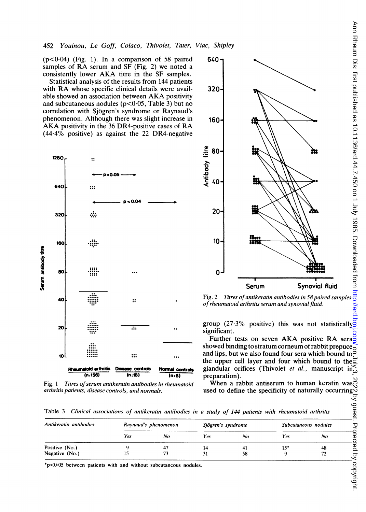$(p<0.04)$  (Fig. 1). In a comparison of 58 paired samples of RA serum and SF (Fig. 2) we noted <sup>a</sup> consistently lower AKA titre in the SF samples.

Statistical analysis of the results from 144 patients with RA whose specific clinical details were available showed an association between AKA positivity and subcutaneous nodules ( $p < 0.05$ , Table 3) but no correlation with Sjogren's syndrome or Raynaud's phenomenon. Although there was slight increase in AKA positivity in the <sup>36</sup> DR4-positive cases of RA  $(44.4\%$  positive) as against the 22 DR4-negative



Fig. 1 Titres of serum antikeratin antibodies in rheumatoid arthritis patients, disease controls, and norma



of rheumatoid arthritis serum and synovial fluid.

group (27.3% positive) this was not statistically significant.

Further tests on seven AKA positive RA sera showed binding to stratum corneum of rabbit prepuce $\overline{\circ}$ and lips, but we also found four sera which bound to  $\bar{5}$ the upper cell layer and four which bound to the Normal controls glandular orifices (Thivolet et al., manuscript  $\lim_{\epsilon \to 0}$  $(n.6)$  preparation).

in rheumatoid When <sup>a</sup> rabbit antiserum to human keratin was Is. **used to define the specificity of naturally occurring** 

Table 3 Clinical associations of antikeratin antibodies in a study of 144 patients with rheumatoid arthritis

| Antikeratin antibodies | Raynaud's phenomenon |    | Sjögren's syndrome |    | Subcutaneous nodules |    |
|------------------------|----------------------|----|--------------------|----|----------------------|----|
|                        | Yes                  | No | Yes                | No | Yes                  | No |
| Positive (No.)         |                      |    |                    |    | 15"                  | 48 |
| Negative (No.)         |                      |    | 31                 | 58 |                      |    |

\*p<0-05 between patients with and without subcutaneous nodules.

copyright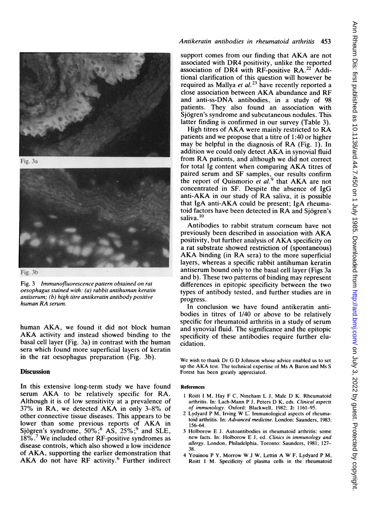



Fig. 3b

Fig. 3 Immunofluorescence pattern obtained on rat oesophagus stained with: (a) rabbit antihuman keratin antiserum; (b) high titre antikeratin antibody positive human RA serum.

human AKA, we found it did not block human AKA activity and instead showed binding to the basal cell layer (Fig. 3a) in contrast with the human sera which found more superficial layers of keratin in the rat oesophagus preparation (Fig. 3b).

# **Discussion**

In this extensive long-term study we have found serum AKA to be relatively specific for RA. Although it is of low sensitivity at a prevalence of 37% in RA, we detected AKA in only 3-8% of other connective tissue diseases. This appears to be lower than some previous reports of AKA in Sjögren's syndrome,  $50\%$ ;  $8\overline{AS}$ ,  $25\%$ ;  $9\overline{SO}$  and SLE,  $18\%$ .<sup>7</sup> We included other RF-positive syndromes as disease controls, which also showed a low incidence of AKA, supporting the earlier demonstration that AKA do not have RF activity.<sup>6</sup> Further indirect

# Antikeratin antibodies in rheumatoid arthritis 453

support comes from our finding that AKA are not associated with DR4 positivity, unlike the reported association of DR4 with RF-positive RA.<sup>22</sup> Additional clarification of this question will however be required as Mallya *et al.*<sup>23</sup> have recently reported a close association between AKA abundance and RF and anti-ss-DNA antibodies, in a study of 98 patients. They also found an association with Sjogren's syndrome and subcutaneous nodules. This latter finding is confirmed in our survey (Table 3).

High titres of AKA were mainly restricted to RA patients and we propose that a titre of 1:40 or higher may be helpful in the diagnosis of RA (Fig. 1). In addition we could only detect AKA in synovial fluid from RA patients, and although we did not correct for total Ig content when comparing AKA titres of paired serum and SF samples, our results confirm<br>the report of Quismorio *et al*.<sup>9</sup> that AKA are not concentrated in SF. Despite the absence of IgG anti-AKA in our study of RA saliva, it is possible that IgA anti-AKA could be present; IgA rheumatoid factors have been detected in RA and Sjogren's saliva.<sup>10</sup>

Antibodies to rabbit stratum corneum have not previously been described in association with AKA positivity, but further analysis of AKA specificity on a rat substrate showed restriction of (spontaneous) AKA binding (in RA sera) to the more superficial layers, whereas a specific rabbit antihuman keratin antiserum bound only to the basal cell layer (Figs 3a and b). These two patterns of binding may represent differences in epitopic specificity between the two types of antibody tested, and further studies are in progress.

In conclusion we have found antikeratin antibodies in titres of 1/40 or above to be relatively specific for rheumatoid arthritis in a study of serum and synovial fluid. The significance and the epitopic specificity of these antibodies require further elucidation.

We wish to thank Dr G D Johnson whose advice enabled us to set up the AKA test. The technical expertise of Ms A Baron and Ms <sup>S</sup> Forest has been greatly appreciated.

#### References

- <sup>1</sup> Roitt <sup>I</sup> M, Hay F C, Nineham L J, Male D K. Rheumatoid arthritis. In: Lach-Mann P J, Peters D K, eds. Clinical aspects of immunology. Oxford: Blackwell, 1982; 2: 1161-95.
- <sup>2</sup> Lydyard <sup>P</sup> M, Irving W L. Immunological aspects of rheumatoid arthritis. In: Advanced medicine. London: Saunders, 1983: 156-64.
- 3 Holborow E J. Autoantibodies in rheumatoid arthritis: some new facts. In: Holborow E J, ed. Clinics in immunology and allergy. London, Philadelphia, Toronto: Saunders, 1981; 127- 38.
- <sup>4</sup> Youinou <sup>P</sup> Y, Morrow W <sup>J</sup> W, Lettin A W F, Lydyard <sup>P</sup> M, Roitt <sup>I</sup> M. Specificity of plasma cells in the rheumatoid